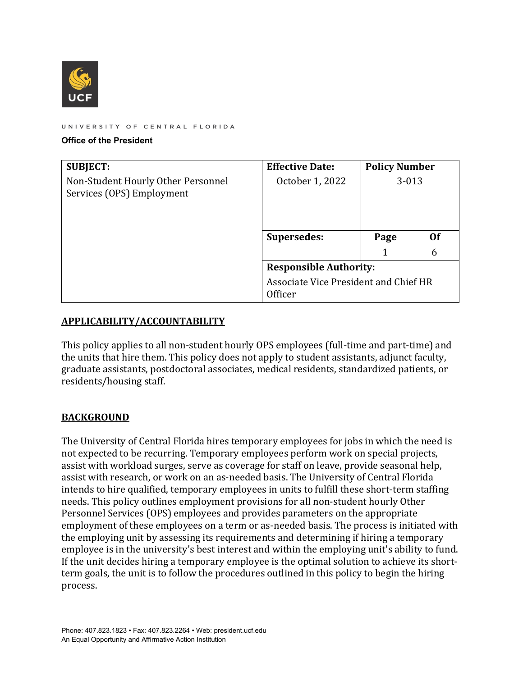

UNIVERSITY OF CENTRAL FLORIDA

#### **Office of the President**

| <b>SUBJECT:</b>                                                 | <b>Effective Date:</b>                                  | <b>Policy Number</b> |    |
|-----------------------------------------------------------------|---------------------------------------------------------|----------------------|----|
| Non-Student Hourly Other Personnel<br>Services (OPS) Employment | October 1, 2022                                         | $3 - 013$            |    |
|                                                                 | <b>Supersedes:</b>                                      | Page                 | Ωf |
|                                                                 |                                                         |                      | 6  |
|                                                                 | <b>Responsible Authority:</b>                           |                      |    |
|                                                                 | Associate Vice President and Chief HR<br><b>Officer</b> |                      |    |

#### **APPLICABILITY/ACCOUNTABILITY**

This policy applies to all non-student hourly OPS employees (full-time and part-time) and the units that hire them. This policy does not apply to student assistants, adjunct faculty, graduate assistants, postdoctoral associates, medical residents, standardized patients, or residents/housing staff.

#### **BACKGROUND**

The University of Central Florida hires temporary employees for jobs in which the need is not expected to be recurring. Temporary employees perform work on special projects, assist with workload surges, serve as coverage for staff on leave, provide seasonal help, assist with research, or work on an as-needed basis. The University of Central Florida intends to hire qualified, temporary employees in units to fulfill these short-term staffing needs. This policy outlines employment provisions for all non-student hourly Other Personnel Services (OPS) employees and provides parameters on the appropriate employment of these employees on a term or as-needed basis. The process is initiated with the employing unit by assessing its requirements and determining if hiring a temporary employee is in the university's best interest and within the employing unit's ability to fund. If the unit decides hiring a temporary employee is the optimal solution to achieve its shortterm goals, the unit is to follow the procedures outlined in this policy to begin the hiring process.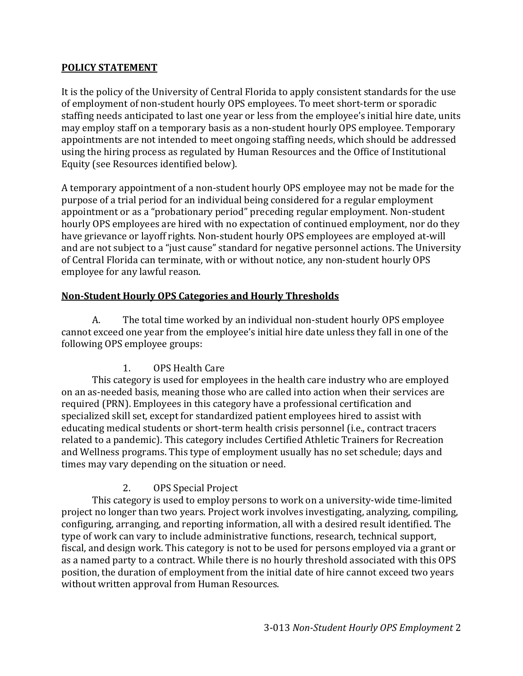#### **POLICY STATEMENT**

It is the policy of the University of Central Florida to apply consistent standards for the use of employment of non-student hourly OPS employees. To meet short-term or sporadic staffing needs anticipated to last one year or less from the employee's initial hire date, units may employ staff on a temporary basis as a non-student hourly OPS employee. Temporary appointments are not intended to meet ongoing staffing needs, which should be addressed using the hiring process as regulated by Human Resources and the Office of Institutional Equity (see Resources identified below).

A temporary appointment of a non-student hourly OPS employee may not be made for the purpose of a trial period for an individual being considered for a regular employment appointment or as a "probationary period" preceding regular employment. Non-student hourly OPS employees are hired with no expectation of continued employment, nor do they have grievance or layoff rights. Non-student hourly OPS employees are employed at-will and are not subject to a "just cause" standard for negative personnel actions. The University of Central Florida can terminate, with or without notice, any non-student hourly OPS employee for any lawful reason.

# **Non‐Student Hourly OPS Categories and Hourly Thresholds**

A. The total time worked by an individual non-student hourly OPS employee cannot exceed one year from the employee's initial hire date unless they fall in one of the following OPS employee groups:

# 1. OPS Health Care

This category is used for employees in the health care industry who are employed on an as-needed basis, meaning those who are called into action when their services are required (PRN). Employees in this category have a professional certification and specialized skill set, except for standardized patient employees hired to assist with educating medical students or short-term health crisis personnel (i.e., contract tracers related to a pandemic). This category includes Certified Athletic Trainers for Recreation and Wellness programs. This type of employment usually has no set schedule; days and times may vary depending on the situation or need.

# 2. OPS Special Project

This category is used to employ persons to work on a university-wide time-limited project no longer than two years. Project work involves investigating, analyzing, compiling, configuring, arranging, and reporting information, all with a desired result identified. The type of work can vary to include administrative functions, research, technical support, fiscal, and design work. This category is not to be used for persons employed via a grant or as a named party to a contract. While there is no hourly threshold associated with this OPS position, the duration of employment from the initial date of hire cannot exceed two years without written approval from Human Resources.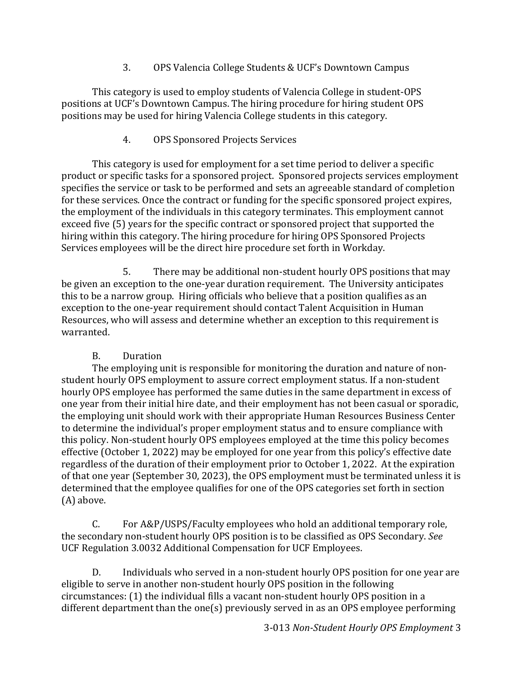3. OPS Valencia College Students & UCF's Downtown Campus

This category is used to employ students of Valencia College in student-OPS positions at UCF's Downtown Campus. The hiring procedure for hiring student OPS positions may be used for hiring Valencia College students in this category.

# 4. OPS Sponsored Projects Services

This category is used for employment for a set time period to deliver a specific product or specific tasks for a sponsored project. Sponsored projects services employment specifies the service or task to be performed and sets an agreeable standard of completion for these services. Once the contract or funding for the specific sponsored project expires, the employment of the individuals in this category terminates. This employment cannot exceed five (5) years for the specific contract or sponsored project that supported the hiring within this category. The hiring procedure for hiring OPS Sponsored Projects Services employees will be the direct hire procedure set forth in Workday.

5. There may be additional non-student hourly OPS positions that may be given an exception to the one-year duration requirement. The University anticipates this to be a narrow group. Hiring officials who believe that a position qualifies as an exception to the one-year requirement should contact Talent Acquisition in Human Resources, who will assess and determine whether an exception to this requirement is warranted.

# B. Duration

The employing unit is responsible for monitoring the duration and nature of nonstudent hourly OPS employment to assure correct employment status. If a non-student hourly OPS employee has performed the same duties in the same department in excess of one year from their initial hire date, and their employment has not been casual or sporadic, the employing unit should work with their appropriate Human Resources Business Center to determine the individual's proper employment status and to ensure compliance with this policy. Non-student hourly OPS employees employed at the time this policy becomes effective (October 1, 2022) may be employed for one year from this policy's effective date regardless of the duration of their employment prior to October 1, 2022. At the expiration of that one year (September 30, 2023), the OPS employment must be terminated unless it is determined that the employee qualifies for one of the OPS categories set forth in section (A) above.

C. For A&P/USPS/Faculty employees who hold an additional temporary role, the secondary non-student hourly OPS position is to be classified as OPS Secondary. *See* UCF Regulation 3.0032 Additional Compensation for UCF Employees.

D. Individuals who served in a non-student hourly OPS position for one year are eligible to serve in another non-student hourly OPS position in the following circumstances: (1) the individual fills a vacant non-student hourly OPS position in a different department than the one(s) previously served in as an OPS employee performing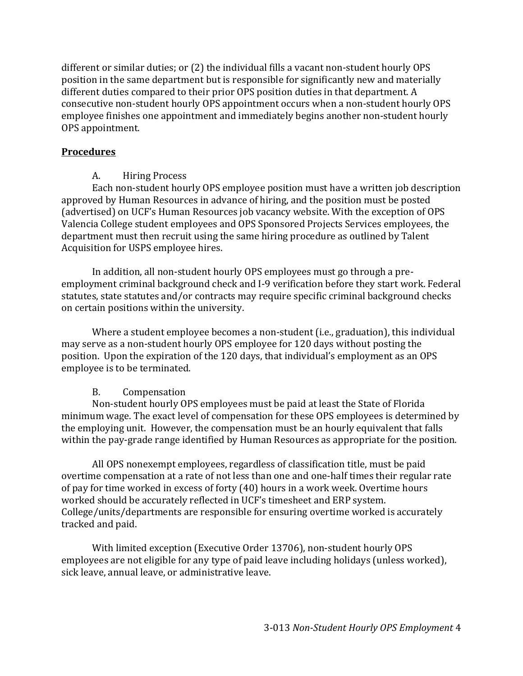different or similar duties; or (2) the individual fills a vacant non-student hourly OPS position in the same department but is responsible for significantly new and materially different duties compared to their prior OPS position duties in that department. A consecutive non-student hourly OPS appointment occurs when a non-student hourly OPS employee finishes one appointment and immediately begins another non-student hourly OPS appointment.

#### **Procedures**

# A. Hiring Process

Each non-student hourly OPS employee position must have a written job description approved by Human Resources in advance of hiring, and the position must be posted (advertised) on UCF's Human Resources job vacancy website. With the exception of OPS Valencia College student employees and OPS Sponsored Projects Services employees, the department must then recruit using the same hiring procedure as outlined by Talent Acquisition for USPS employee hires.

In addition, all non-student hourly OPS employees must go through a preemployment criminal background check and I-9 verification before they start work. Federal statutes, state statutes and/or contracts may require specific criminal background checks on certain positions within the university.

Where a student employee becomes a non-student (i.e., graduation), this individual may serve as a non-student hourly OPS employee for 120 days without posting the position. Upon the expiration of the 120 days, that individual's employment as an OPS employee is to be terminated.

# B. Compensation

 within the pay-grade range identified by Human Resources as appropriate for the position. All OPS nonexempt employees, regardless of classification title, must be paid Non-student hourly OPS employees must be paid at least the State of Florida minimum wage. The exact level of compensation for these OPS employees is determined by the employing unit. However, the compensation must be an hourly equivalent that falls

overtime compensation at a rate of not less than one and one-half times their regular rate of pay for time worked in excess of forty (40) hours in a work week. Overtime hours worked should be accurately reflected in UCF's timesheet and ERP system. College/units/departments are responsible for ensuring overtime worked is accurately tracked and paid.

With limited exception (Executive Order 13706), non-student hourly OPS employees are not eligible for any type of paid leave including holidays (unless worked), sick leave, annual leave, or administrative leave.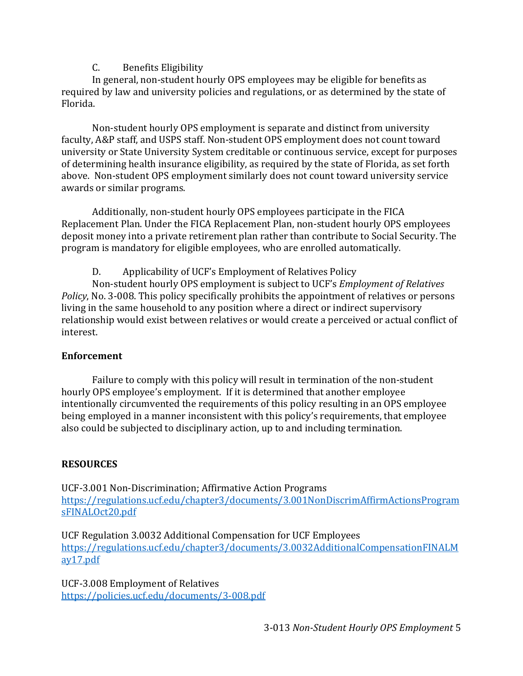#### C. Benefits Eligibility

In general, non-student hourly OPS employees may be eligible for benefits as required by law and university policies and regulations, or as determined by the state of Florida.

Non-student hourly OPS employment is separate and distinct from university faculty, A&P staff, and USPS staff. Non-student OPS employment does not count toward university or State University System creditable or continuous service, except for purposes of determining health insurance eligibility, as required by the state of Florida, as set forth above. Non-student OPS employment similarly does not count toward university service awards or similar programs.

Additionally, non-student hourly OPS employees participate in the FICA Replacement Plan. Under the FICA Replacement Plan, non-student hourly OPS employees deposit money into a private retirement plan rather than contribute to Social Security. The program is mandatory for eligible employees, who are enrolled automatically.

D. Applicability of UCF's Employment of Relatives Policy

 Non-student hourly OPS employment is subject to UCF's *Employment of Relatives Policy*, No. 3-008. This policy specifically prohibits the appointment of relatives or persons living in the same household to any position where a direct or indirect supervisory relationship would exist between relatives or would create a perceived or actual conflict of interest.

#### **Enforcement**

Failure to comply with this policy will result in termination of the non-student hourly OPS employee's employment. If it is determined that another employee intentionally circumvented the requirements of this policy resulting in an OPS employee being employed in a manner inconsistent with this policy's requirements, that employee also could be subjected to disciplinary action, up to and including termination.

#### **RESOURCES**

UCF-3.001 Non-Discrimination; Affirmative Action Programs <https://regulations.ucf.edu/chapter3/documents/3.001NonDiscrimAffirmActionsProgram> sFINALOct20.pdf

UCF Regulation 3.0032 Additional Compensation for UCF Employees <https://regulations.ucf.edu/chapter3/documents/3.0032AdditionalCompensationFINALM> ay17.pdf

 <https://policies.ucf.edu/documents/3-008.pdf>3-013 *Non‐Student Hourly OPS Employment*<sup>5</sup>UCF-3.008 Employment of Relatives